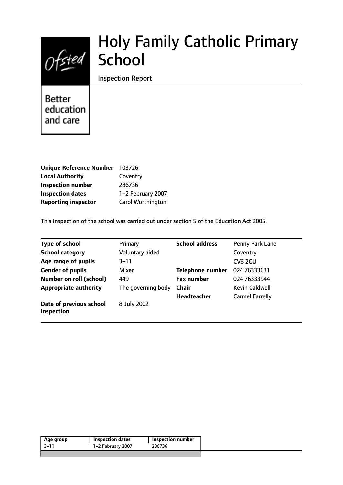

# Holy Family Catholic Primary **School**

Inspection Report

**Better** education and care

| <b>Unique Reference Number</b> | 103726                   |
|--------------------------------|--------------------------|
| <b>Local Authority</b>         | Coventry                 |
| <b>Inspection number</b>       | 286736                   |
| <b>Inspection dates</b>        | 1-2 February 2007        |
| <b>Reporting inspector</b>     | <b>Carol Worthington</b> |

This inspection of the school was carried out under section 5 of the Education Act 2005.

| <b>Type of school</b>                 | Primary            | <b>School address</b>   | Penny Park Lane        |
|---------------------------------------|--------------------|-------------------------|------------------------|
| <b>School category</b>                | Voluntary aided    |                         | Coventry               |
| Age range of pupils                   | $3 - 11$           |                         | <b>CV6 2GU</b>         |
| <b>Gender of pupils</b>               | Mixed              | <b>Telephone number</b> | 024 76333631           |
| <b>Number on roll (school)</b>        | 449                | <b>Fax number</b>       | 024 76333944           |
| <b>Appropriate authority</b>          | The governing body | <b>Chair</b>            | <b>Kevin Caldwell</b>  |
|                                       |                    | <b>Headteacher</b>      | <b>Carmel Farrelly</b> |
| Date of previous school<br>inspection | 8 July 2002        |                         |                        |

| $-3-11$<br>1-2 February 2007<br>286736 | Age group | <b>Inspection dates</b> | <b>Inspection number</b> |
|----------------------------------------|-----------|-------------------------|--------------------------|
|                                        |           |                         |                          |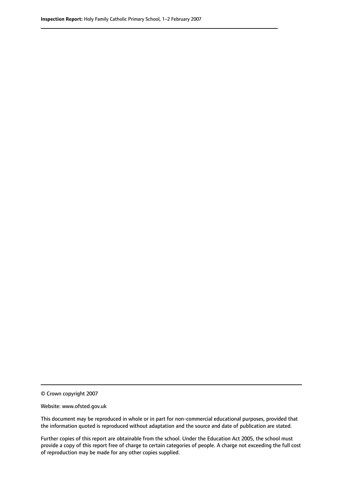© Crown copyright 2007

Website: www.ofsted.gov.uk

This document may be reproduced in whole or in part for non-commercial educational purposes, provided that the information quoted is reproduced without adaptation and the source and date of publication are stated.

Further copies of this report are obtainable from the school. Under the Education Act 2005, the school must provide a copy of this report free of charge to certain categories of people. A charge not exceeding the full cost of reproduction may be made for any other copies supplied.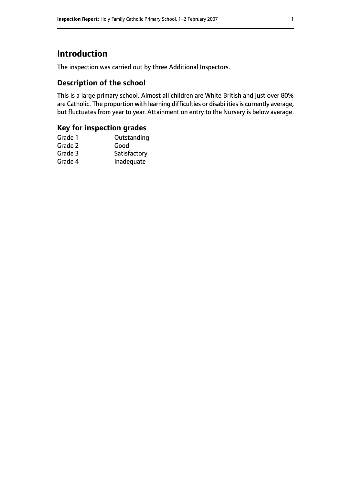# **Introduction**

The inspection was carried out by three Additional Inspectors.

## **Description of the school**

This is a large primary school. Almost all children are White British and just over 80% are Catholic. The proportion with learning difficulties or disabilities is currently average, but fluctuates from year to year. Attainment on entry to the Nursery is below average.

# **Key for inspection grades**

| Grade 1 | Outstanding  |
|---------|--------------|
| Grade 2 | Good         |
| Grade 3 | Satisfactory |
| Grade 4 | Inadequate   |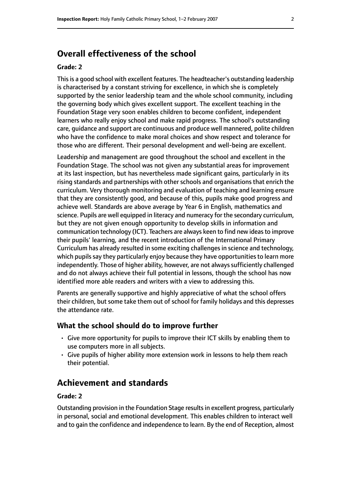## **Overall effectiveness of the school**

#### **Grade: 2**

This is a good school with excellent features. The headteacher's outstanding leadership is characterised by a constant striving for excellence, in which she is completely supported by the senior leadership team and the whole school community, including the governing body which gives excellent support. The excellent teaching in the Foundation Stage very soon enables children to become confident, independent learners who really enjoy school and make rapid progress. The school's outstanding care, guidance and support are continuous and produce well mannered, polite children who have the confidence to make moral choices and show respect and tolerance for those who are different. Their personal development and well-being are excellent.

Leadership and management are good throughout the school and excellent in the Foundation Stage. The school was not given any substantial areas for improvement at its last inspection, but has nevertheless made significant gains, particularly in its rising standards and partnerships with other schools and organisations that enrich the curriculum. Very thorough monitoring and evaluation of teaching and learning ensure that they are consistently good, and because of this, pupils make good progress and achieve well. Standards are above average by Year 6 in English, mathematics and science. Pupils are well equipped in literacy and numeracy for the secondary curriculum, but they are not given enough opportunity to develop skills in information and communication technology (ICT). Teachers are always keen to find new ideasto improve their pupils' learning, and the recent introduction of the International Primary Curriculum has already resulted in some exciting challengesin science and technology, which pupils say they particularly enjoy because they have opportunities to learn more independently. Those of higher ability, however, are not always sufficiently challenged and do not always achieve their full potential in lessons, though the school has now identified more able readers and writers with a view to addressing this.

Parents are generally supportive and highly appreciative of what the school offers their children, but some take them out of school for family holidays and this depresses the attendance rate.

#### **What the school should do to improve further**

- Give more opportunity for pupils to improve their ICT skills by enabling them to use computers more in all subjects.
- Give pupils of higher ability more extension work in lessons to help them reach their potential.

# **Achievement and standards**

#### **Grade: 2**

Outstanding provision in the Foundation Stage results in excellent progress, particularly in personal, social and emotional development. This enables children to interact well and to gain the confidence and independence to learn. By the end of Reception, almost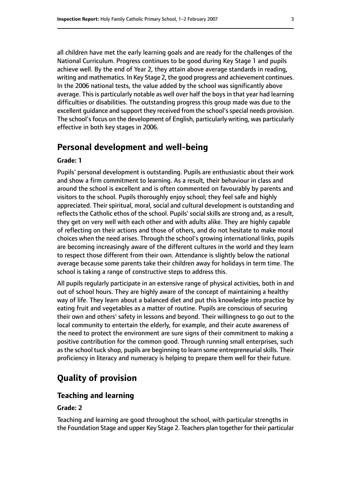all children have met the early learning goals and are ready for the challenges of the National Curriculum. Progress continues to be good during Key Stage 1 and pupils achieve well. By the end of Year 2, they attain above average standards in reading, writing and mathematics. In Key Stage 2, the good progress and achievement continues. In the 2006 national tests, the value added by the school was significantly above average. This is particularly notable as well over half the boys in that year had learning difficulties or disabilities. The outstanding progress this group made was due to the excellent quidance and support they received from the school's special needs provision. The school's focus on the development of English, particularly writing, was particularly effective in both key stages in 2006.

## **Personal development and well-being**

#### **Grade: 1**

Pupils' personal development is outstanding. Pupils are enthusiastic about their work and show a firm commitment to learning. As a result, their behaviour in class and around the school is excellent and is often commented on favourably by parents and visitors to the school. Pupils thoroughly enjoy school; they feel safe and highly appreciated. Their spiritual, moral, social and cultural development is outstanding and reflects the Catholic ethos of the school. Pupils' social skills are strong and, as a result, they get on very well with each other and with adults alike. They are highly capable of reflecting on their actions and those of others, and do not hesitate to make moral choices when the need arises. Through the school's growing international links, pupils are becoming increasingly aware of the different cultures in the world and they learn to respect those different from their own. Attendance is slightly below the national average because some parents take their children away for holidays in term time. The school is taking a range of constructive steps to address this.

All pupils regularly participate in an extensive range of physical activities, both in and out of school hours. They are highly aware of the concept of maintaining a healthy way of life. They learn about a balanced diet and put this knowledge into practice by eating fruit and vegetables as a matter of routine. Pupils are conscious of securing their own and others' safety in lessons and beyond. Their willingness to go out to the local community to entertain the elderly, for example, and their acute awareness of the need to protect the environment are sure signs of their commitment to making a positive contribution for the common good. Through running small enterprises, such as the school tuck shop, pupils are beginning to learn some entrepreneurial skills. Their proficiency in literacy and numeracy is helping to prepare them well for their future.

# **Quality of provision**

#### **Teaching and learning**

#### **Grade: 2**

Teaching and learning are good throughout the school, with particular strengths in the Foundation Stage and upper Key Stage 2. Teachers plan together for their particular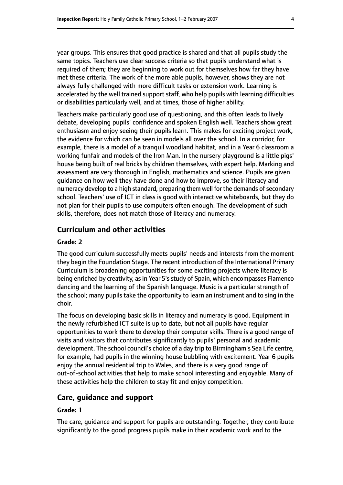year groups. This ensures that good practice is shared and that all pupils study the same topics. Teachers use clear success criteria so that pupils understand what is required of them; they are beginning to work out for themselves how far they have met these criteria. The work of the more able pupils, however, shows they are not always fully challenged with more difficult tasks or extension work. Learning is accelerated by the well trained support staff, who help pupils with learning difficulties or disabilities particularly well, and at times, those of higher ability.

Teachers make particularly good use of questioning, and this often leads to lively debate, developing pupils' confidence and spoken English well. Teachers show great enthusiasm and enjoy seeing their pupils learn. This makes for exciting project work, the evidence for which can be seen in models all over the school. In a corridor, for example, there is a model of a tranquil woodland habitat, and in a Year 6 classroom a working funfair and models of the Iron Man. In the nursery playground is a little pigs' house being built of real bricks by children themselves, with expert help. Marking and assessment are very thorough in English, mathematics and science. Pupils are given guidance on how well they have done and how to improve, so their literacy and numeracy develop to a high standard, preparing them well for the demands of secondary school. Teachers' use of ICT in class is good with interactive whiteboards, but they do not plan for their pupils to use computers often enough. The development of such skills, therefore, does not match those of literacy and numeracy.

#### **Curriculum and other activities**

#### **Grade: 2**

The good curriculum successfully meets pupils' needs and interests from the moment they begin the Foundation Stage. The recent introduction of the International Primary Curriculum is broadening opportunities for some exciting projects where literacy is being enriched by creativity, as in Year 5's study of Spain, which encompasses Flamenco dancing and the learning of the Spanish language. Music is a particular strength of the school; many pupils take the opportunity to learn an instrument and to sing in the choir.

The focus on developing basic skills in literacy and numeracy is good. Equipment in the newly refurbished ICT suite is up to date, but not all pupils have regular opportunities to work there to develop their computer skills. There is a good range of visits and visitors that contributes significantly to pupils' personal and academic development. The school council's choice of a day trip to Birmingham's Sea Life centre, for example, had pupils in the winning house bubbling with excitement. Year 6 pupils enjoy the annual residential trip to Wales, and there is a very good range of out-of-school activities that help to make school interesting and enjoyable. Many of these activities help the children to stay fit and enjoy competition.

#### **Care, guidance and support**

#### **Grade: 1**

The care, guidance and support for pupils are outstanding. Together, they contribute significantly to the good progress pupils make in their academic work and to the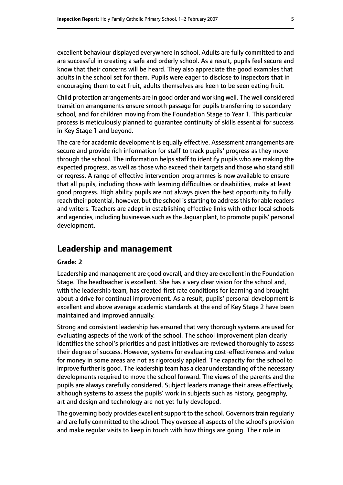excellent behaviour displayed everywhere in school. Adults are fully committed to and are successful in creating a safe and orderly school. As a result, pupils feel secure and know that their concerns will be heard. They also appreciate the good examples that adults in the school set for them. Pupils were eager to disclose to inspectors that in encouraging them to eat fruit, adults themselves are keen to be seen eating fruit.

Child protection arrangements are in good order and working well. The well considered transition arrangements ensure smooth passage for pupils transferring to secondary school, and for children moving from the Foundation Stage to Year 1. This particular process is meticulously planned to guarantee continuity of skills essential for success in Key Stage 1 and beyond.

The care for academic development is equally effective. Assessment arrangements are secure and provide rich information for staff to track pupils' progress as they move through the school. The information helps staff to identify pupils who are making the expected progress, as well as those who exceed their targets and those who stand still or regress. A range of effective intervention programmes is now available to ensure that all pupils, including those with learning difficulties or disabilities, make at least good progress. High ability pupils are not always given the best opportunity to fully reach their potential, however, but the school is starting to address this for able readers and writers. Teachers are adept in establishing effective links with other local schools and agencies, including businesses such as the Jaguar plant, to promote pupils' personal development.

# **Leadership and management**

#### **Grade: 2**

Leadership and management are good overall, and they are excellent in the Foundation Stage. The headteacher is excellent. She has a very clear vision for the school and, with the leadership team, has created first rate conditions for learning and brought about a drive for continual improvement. As a result, pupils' personal development is excellent and above average academic standards at the end of Key Stage 2 have been maintained and improved annually.

Strong and consistent leadership has ensured that very thorough systems are used for evaluating aspects of the work of the school. The school improvement plan clearly identifies the school's priorities and past initiatives are reviewed thoroughly to assess their degree of success. However, systems for evaluating cost-effectiveness and value for money in some areas are not as rigorously applied. The capacity for the school to improve further is good. The leadership team has a clear understanding of the necessary developments required to move the school forward. The views of the parents and the pupils are always carefully considered. Subject leaders manage their areas effectively, although systems to assess the pupils' work in subjects such as history, geography, art and design and technology are not yet fully developed.

The governing body provides excellent support to the school. Governors train regularly and are fully committed to the school. They oversee all aspects of the school's provision and make regular visits to keep in touch with how things are going. Their role in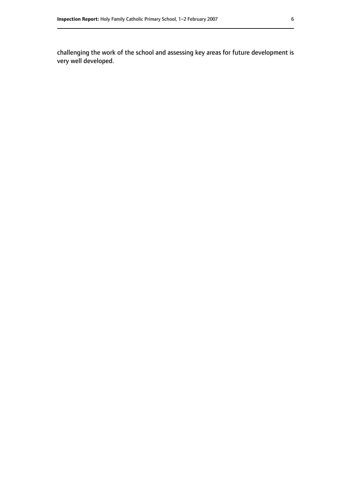challenging the work of the school and assessing key areas for future development is very well developed.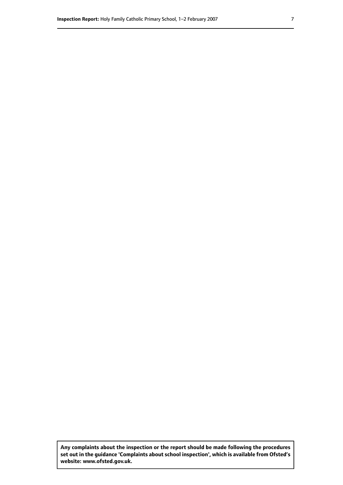**Any complaints about the inspection or the report should be made following the procedures set out inthe guidance 'Complaints about school inspection', whichis available from Ofsted's website: www.ofsted.gov.uk.**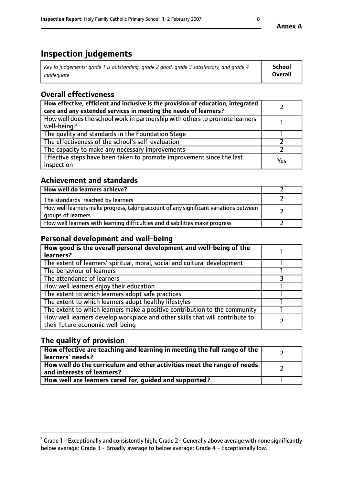# **Inspection judgements**

| Key to judgements: grade 1 is outstanding, grade 2 good, grade 3 satisfactory, and grade 4 | <b>School</b>  |
|--------------------------------------------------------------------------------------------|----------------|
| inadeauate                                                                                 | <b>Overall</b> |

# **Overall effectiveness**

| How effective, efficient and inclusive is the provision of education, integrated<br>care and any extended services in meeting the needs of learners? |     |
|------------------------------------------------------------------------------------------------------------------------------------------------------|-----|
| How well does the school work in partnership with others to promote learners'<br>well-being?                                                         |     |
| The quality and standards in the Foundation Stage                                                                                                    |     |
| The effectiveness of the school's self-evaluation                                                                                                    |     |
| The capacity to make any necessary improvements                                                                                                      |     |
| Effective steps have been taken to promote improvement since the last<br>inspection                                                                  | Yes |

## **Achievement and standards**

| How well do learners achieve?                                                                               |  |
|-------------------------------------------------------------------------------------------------------------|--|
| The standards <sup>1</sup> reached by learners                                                              |  |
| How well learners make progress, taking account of any significant variations between<br>groups of learners |  |
| How well learners with learning difficulties and disabilities make progress                                 |  |

## **Personal development and well-being**

| How good is the overall personal development and well-being of the<br>learners?                                  |  |
|------------------------------------------------------------------------------------------------------------------|--|
|                                                                                                                  |  |
| The extent of learners' spiritual, moral, social and cultural development                                        |  |
| The behaviour of learners                                                                                        |  |
| The attendance of learners                                                                                       |  |
| How well learners enjoy their education                                                                          |  |
| The extent to which learners adopt safe practices                                                                |  |
| The extent to which learners adopt healthy lifestyles                                                            |  |
| The extent to which learners make a positive contribution to the community                                       |  |
| How well learners develop workplace and other skills that will contribute to<br>their future economic well-being |  |

## **The quality of provision**

| How effective are teaching and learning in meeting the full range of the<br>  learners' needs?                      |  |
|---------------------------------------------------------------------------------------------------------------------|--|
| $\mid$ How well do the curriculum and other activities meet the range of needs<br>$\mid$ and interests of learners? |  |
| How well are learners cared for, guided and supported?                                                              |  |

 $^1$  Grade 1 - Exceptionally and consistently high; Grade 2 - Generally above average with none significantly below average; Grade 3 - Broadly average to below average; Grade 4 - Exceptionally low.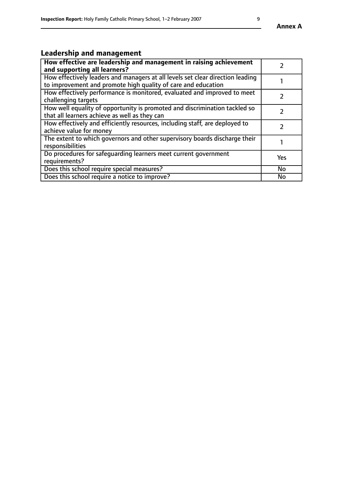# **Leadership and management**

| How effective are leadership and management in raising achievement<br>and supporting all learners?                                              |     |
|-------------------------------------------------------------------------------------------------------------------------------------------------|-----|
| How effectively leaders and managers at all levels set clear direction leading<br>to improvement and promote high quality of care and education |     |
| How effectively performance is monitored, evaluated and improved to meet<br>challenging targets                                                 |     |
| How well equality of opportunity is promoted and discrimination tackled so<br>that all learners achieve as well as they can                     |     |
| How effectively and efficiently resources, including staff, are deployed to<br>achieve value for money                                          |     |
| The extent to which governors and other supervisory boards discharge their<br>responsibilities                                                  |     |
| Do procedures for safequarding learners meet current government<br>requirements?                                                                | Yes |
| Does this school require special measures?                                                                                                      | No  |
| Does this school require a notice to improve?                                                                                                   | No  |